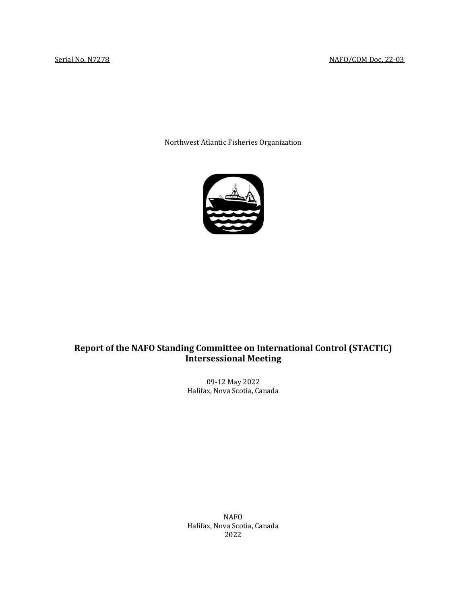Northwest Atlantic Fisheries Organization



# **Report of the NAFO Standing Committee on International Control (STACTIC) Intersessional Meeting**

09-12 May 2022 Halifax, Nova Scotia, Canada

NAFO Halifax, Nova Scotia, Canada 2022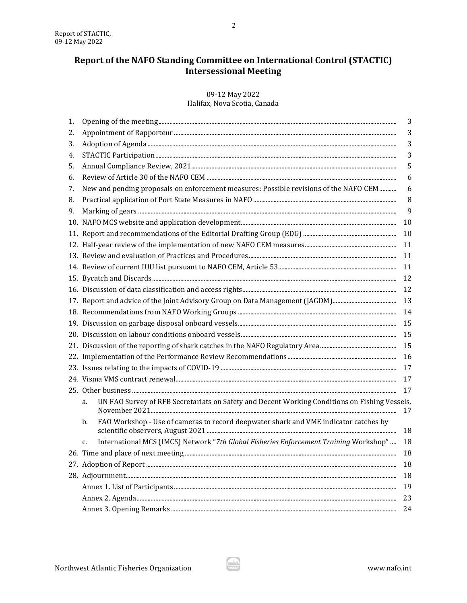# Report of the NAFO Standing Committee on International Control (STACTIC) **Intersessional Meeting**

# 09-12 May 2022

Halifax, Nova Scotia, Canada

|                                                                                            | 3                                                                                                                                                                                                                                                                               |  |
|--------------------------------------------------------------------------------------------|---------------------------------------------------------------------------------------------------------------------------------------------------------------------------------------------------------------------------------------------------------------------------------|--|
|                                                                                            | 3                                                                                                                                                                                                                                                                               |  |
|                                                                                            | 3                                                                                                                                                                                                                                                                               |  |
|                                                                                            | 3                                                                                                                                                                                                                                                                               |  |
|                                                                                            | 5                                                                                                                                                                                                                                                                               |  |
|                                                                                            | 6                                                                                                                                                                                                                                                                               |  |
|                                                                                            | 6                                                                                                                                                                                                                                                                               |  |
|                                                                                            | 8                                                                                                                                                                                                                                                                               |  |
|                                                                                            | 9                                                                                                                                                                                                                                                                               |  |
|                                                                                            | 10                                                                                                                                                                                                                                                                              |  |
|                                                                                            | 10                                                                                                                                                                                                                                                                              |  |
|                                                                                            | 11                                                                                                                                                                                                                                                                              |  |
|                                                                                            | 11                                                                                                                                                                                                                                                                              |  |
|                                                                                            | 11                                                                                                                                                                                                                                                                              |  |
|                                                                                            | 12                                                                                                                                                                                                                                                                              |  |
|                                                                                            | 12                                                                                                                                                                                                                                                                              |  |
|                                                                                            | 13                                                                                                                                                                                                                                                                              |  |
|                                                                                            | 14                                                                                                                                                                                                                                                                              |  |
|                                                                                            | 15                                                                                                                                                                                                                                                                              |  |
|                                                                                            | 15                                                                                                                                                                                                                                                                              |  |
|                                                                                            | 15                                                                                                                                                                                                                                                                              |  |
|                                                                                            | 16                                                                                                                                                                                                                                                                              |  |
| 17                                                                                         |                                                                                                                                                                                                                                                                                 |  |
|                                                                                            | 17                                                                                                                                                                                                                                                                              |  |
|                                                                                            | 17                                                                                                                                                                                                                                                                              |  |
| a.                                                                                         | 17                                                                                                                                                                                                                                                                              |  |
| FAO Workshop - Use of cameras to record deepwater shark and VME indicator catches by<br>b. | 18                                                                                                                                                                                                                                                                              |  |
| c.                                                                                         | 18                                                                                                                                                                                                                                                                              |  |
|                                                                                            | 18                                                                                                                                                                                                                                                                              |  |
|                                                                                            | 18                                                                                                                                                                                                                                                                              |  |
|                                                                                            | 18                                                                                                                                                                                                                                                                              |  |
| 19                                                                                         |                                                                                                                                                                                                                                                                                 |  |
| 23                                                                                         |                                                                                                                                                                                                                                                                                 |  |
| 24                                                                                         |                                                                                                                                                                                                                                                                                 |  |
|                                                                                            | New and pending proposals on enforcement measures: Possible revisions of the NAFO CEM<br>UN FAO Survey of RFB Secretariats on Safety and Decent Working Conditions on Fishing Vessels,<br>International MCS (IMCS) Network "7th Global Fisheries Enforcement Training Workshop" |  |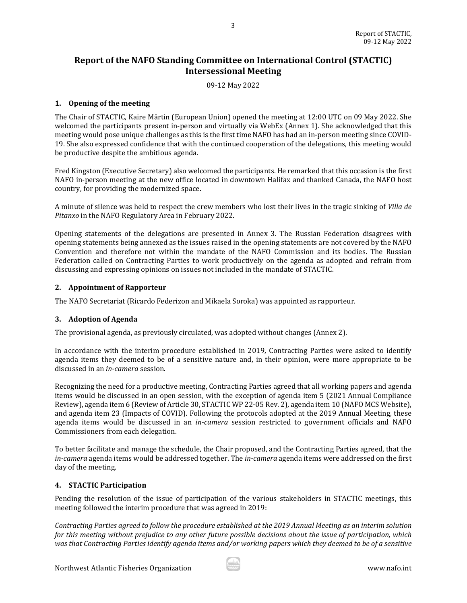# **Report of the NAFO Standing Committee on International Control (STACTIC) Intersessional Meeting**

3

09-12 May 2022

# <span id="page-2-0"></span>**1. Opening of the meeting**

The Chair of STACTIC, Kaire Märtin (European Union) opened the meeting at 12:00 UTC on 09 May 2022. She welcomed the participants present in-person and virtually via WebEx (Annex 1). She acknowledged that this meeting would pose unique challenges as this is the first time NAFO has had an in-person meeting since COVID-19. She also expressed confidence that with the continued cooperation of the delegations, this meeting would be productive despite the ambitious agenda.

Fred Kingston (Executive Secretary) also welcomed the participants. He remarked that this occasion is the first NAFO in-person meeting at the new office located in downtown Halifax and thanked Canada, the NAFO host country, for providing the modernized space.

A minute of silence was held to respect the crew members who lost their lives in the tragic sinking of *Villa de Pitanxo* in the NAFO Regulatory Area in February 2022.

Opening statements of the delegations are presented in Annex 3. The Russian Federation disagrees with opening statements being annexed as the issues raised in the opening statements are not covered by the NAFO Convention and therefore not within the mandate of the NAFO Commission and its bodies. The Russian Federation called on Contracting Parties to work productively on the agenda as adopted and refrain from discussing and expressing opinions on issues not included in the mandate of STACTIC.

# <span id="page-2-1"></span>**2. Appointment of Rapporteur**

The NAFO Secretariat (Ricardo Federizon and Mikaela Soroka) was appointed as rapporteur.

# <span id="page-2-2"></span>**3. Adoption of Agenda**

The provisional agenda, as previously circulated, was adopted without changes (Annex 2).

In accordance with the interim procedure established in 2019, Contracting Parties were asked to identify agenda items they deemed to be of a sensitive nature and, in their opinion, were more appropriate to be discussed in an *in-camera* session.

Recognizing the need for a productive meeting, Contracting Parties agreed that all working papers and agenda items would be discussed in an open session, with the exception of agenda item 5 (2021 Annual Compliance Review), agenda item 6 (Review of Article 30, STACTIC WP 22-05 Rev. 2), agenda item 10 (NAFO MCS Website), and agenda item 23 (Impacts of COVID). Following the protocols adopted at the 2019 Annual Meeting, these agenda items would be discussed in an *in-camera* session restricted to government officials and NAFO Commissioners from each delegation.

To better facilitate and manage the schedule, the Chair proposed, and the Contracting Parties agreed, that the *in-camera* agenda items would be addressed together. The *in-camera* agenda items were addressed on the first day of the meeting.

# <span id="page-2-3"></span>**4. STACTIC Participation**

Pending the resolution of the issue of participation of the various stakeholders in STACTIC meetings, this meeting followed the interim procedure that was agreed in 2019:

*Contracting Parties agreed to follow the procedure established at the 2019 Annual Meeting as an interim solution for this meeting without prejudice to any other future possible decisions about the issue of participation, which was that Contracting Parties identify agenda items and/or working papers which they deemed to be of a sensitive* 

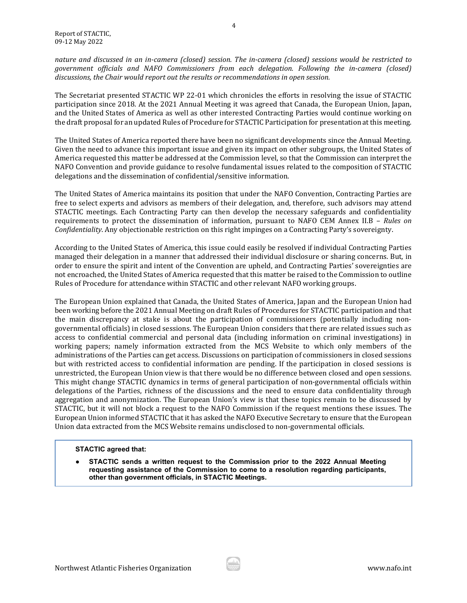*nature and discussed in an in-camera (closed) session. The in-camera (closed) sessions would be restricted to government officials and NAFO Commissioners from each delegation. Following the in-camera (closed) discussions, the Chair would report out the results or recommendations in open session.*

The Secretariat presented STACTIC WP 22-01 which chronicles the efforts in resolving the issue of STACTIC participation since 2018. At the 2021 Annual Meeting it was agreed that Canada, the European Union, Japan, and the United States of America as well as other interested Contracting Parties would continue working on the draft proposal for an updated Rules of Procedure for STACTIC Participation for presentation at this meeting.

The United States of America reported there have been no significant developments since the Annual Meeting. Given the need to advance this important issue and given its impact on other subgroups, the United States of America requested this matter be addressed at the Commission level, so that the Commission can interpret the NAFO Convention and provide guidance to resolve fundamental issues related to the composition of STACTIC delegations and the dissemination of confidential/sensitive information.

The United States of America maintains its position that under the NAFO Convention, Contracting Parties are free to select experts and advisors as members of their delegation, and, therefore, such advisors may attend STACTIC meetings. Each Contracting Party can then develop the necessary safeguards and confidentiality requirements to protect the dissemination of information, pursuant to NAFO CEM Annex II.B – *Rules on Confidentiality*. Any objectionable restriction on this right impinges on a Contracting Party's sovereignty.

According to the United States of America, this issue could easily be resolved if individual Contracting Parties managed their delegation in a manner that addressed their individual disclosure or sharing concerns. But, in order to ensure the spirit and intent of the Convention are upheld, and Contracting Parties' sovereignties are not encroached, the United States of America requested that this matter be raised to the Commission to outline Rules of Procedure for attendance within STACTIC and other relevant NAFO working groups.

The European Union explained that Canada, the United States of America, Japan and the European Union had been working before the 2021 Annual Meeting on draft Rules of Procedures for STACTIC participation and that the main discrepancy at stake is about the participation of commissioners (potentially including nongovernmental officials) in closed sessions. The European Union considers that there are related issues such as access to confidential commercial and personal data (including information on criminal investigations) in working papers; namely information extracted from the MCS Website to which only members of the administrations of the Parties can get access. Discussions on participation of commissioners in closed sessions but with restricted access to confidential information are pending. If the participation in closed sessions is unrestricted, the European Union view is that there would be no difference between closed and open sessions. This might change STACTIC dynamics in terms of general participation of non-governmental officials within delegations of the Parties, richness of the discussions and the need to ensure data confidentiality through aggregation and anonymization. The European Union's view is that these topics remain to be discussed by STACTIC, but it will not block a request to the NAFO Commission if the request mentions these issues. The European Union informed STACTIC that it has asked the NAFO Executive Secretary to ensure that the European Union data extracted from the MCS Website remains undisclosed to non-governmental officials.

# **STACTIC agreed that:**

**STACTIC sends a written request to the Commission prior to the 2022 Annual Meeting requesting assistance of the Commission to come to a resolution regarding participants, other than government officials, in STACTIC Meetings.**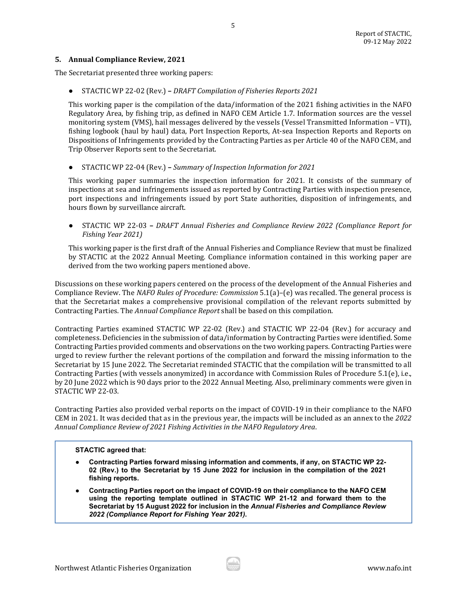### <span id="page-4-0"></span>**5. Annual Compliance Review, 2021**

The Secretariat presented three working papers:

● STACTIC WP 22-02 (Rev.) **–** *DRAFT Compilation of Fisheries Reports 2021*

This working paper is the compilation of the data/information of the 2021 fishing activities in the NAFO Regulatory Area, by fishing trip, as defined in NAFO CEM Article 1.7. Information sources are the vessel monitoring system (VMS), hail messages delivered by the vessels (Vessel Transmitted Information – VTI), fishing logbook (haul by haul) data, Port Inspection Reports, At-sea Inspection Reports and Reports on Dispositions of Infringements provided by the Contracting Parties as per Article 40 of the NAFO CEM, and Trip Observer Reports sent to the Secretariat.

5

● STACTIC WP 22-04 (Rev.) **–** *Summary of Inspection Information for 2021*

This working paper summaries the inspection information for 2021. It consists of the summary of inspections at sea and infringements issued as reported by Contracting Parties with inspection presence, port inspections and infringements issued by port State authorities, disposition of infringements, and hours flown by surveillance aircraft.

● STACTIC WP 22-03 **–** *DRAFT Annual Fisheries and Compliance Review 2022 (Compliance Report for Fishing Year 2021)*

This working paper is the first draft of the Annual Fisheries and Compliance Review that must be finalized by STACTIC at the 2022 Annual Meeting*.* Compliance information contained in this working paper are derived from the two working papers mentioned above.

Discussions on these working papers centered on the process of the development of the Annual Fisheries and Compliance Review. The *NAFO Rules of Procedure: Commission* 5.1(a)–(e) was recalled. The general process is that the Secretariat makes a comprehensive provisional compilation of the relevant reports submitted by Contracting Parties. The *Annual Compliance Report* shall be based on this compilation.

Contracting Parties examined STACTIC WP 22-02 (Rev.) and STACTIC WP 22-04 (Rev.) for accuracy and completeness. Deficiencies in the submission of data/information by Contracting Parties were identified. Some Contracting Parties provided comments and observations on the two working papers. Contracting Parties were urged to review further the relevant portions of the compilation and forward the missing information to the Secretariat by 15 June 2022. The Secretariat reminded STACTIC that the compilation will be transmitted to all Contracting Parties (with vessels anonymized) in accordance with Commission Rules of Procedure 5.1(e), i.e., by 20 June 2022 which is 90 days prior to the 2022 Annual Meeting. Also, preliminary comments were given in STACTIC WP 22-03.

Contracting Parties also provided verbal reports on the impact of COVID-19 in their compliance to the NAFO CEM in 2021. It was decided that as in the previous year, the impacts will be included as an annex to the *2022 Annual Compliance Review of 2021 Fishing Activities in the NAFO Regulatory Area*.

### **STACTIC agreed that:**

- **Contracting Parties forward missing information and comments, if any, on STACTIC WP 22- 02 (Rev.) to the Secretariat by 15 June 2022 for inclusion in the compilation of the 2021 fishing reports.**
- **Contracting Parties report on the impact of COVID-19 on their compliance to the NAFO CEM using the reporting template outlined in STACTIC WP 21-12 and forward them to the Secretariat by 15 August 2022 for inclusion in the** *Annual Fisheries and Compliance Review 2022 (Compliance Report for Fishing Year 2021)***.**

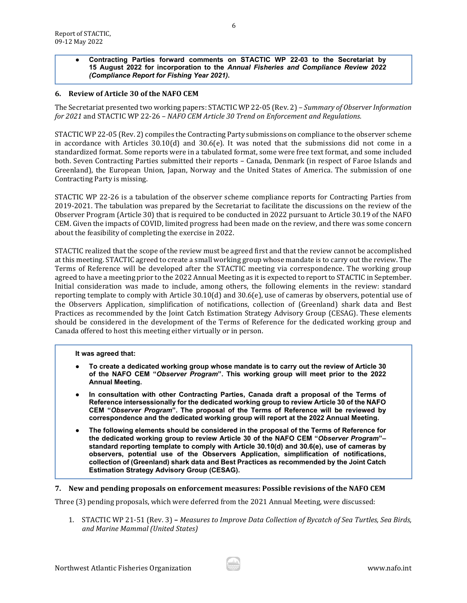### ● **Contracting Parties forward comments on STACTIC WP 22-03 to the Secretariat by 15 August 2022 for incorporation to the** *Annual Fisheries and Compliance Review 2022 (Compliance Report for Fishing Year 2021)***.**

# <span id="page-5-0"></span>**6. Review of Article 30 of the NAFO CEM**

The Secretariat presented two working papers: STACTIC WP 22-05 (Rev. 2) – *Summary of Observer Information for 2021* and STACTIC WP 22-26 – *NAFO CEM Article 30 Trend on Enforcement and Regulations.* 

STACTIC WP 22-05 (Rev. 2) compiles the Contracting Party submissions on compliance to the observer scheme in accordance with Articles 30.10(d) and 30.6(e). It was noted that the submissions did not come in a standardized format. Some reports were in a tabulated format, some were free text format, and some included both. Seven Contracting Parties submitted their reports – Canada, Denmark (in respect of Faroe Islands and Greenland), the European Union, Japan, Norway and the United States of America. The submission of one Contracting Party is missing.

STACTIC WP 22-26 is a tabulation of the observer scheme compliance reports for Contracting Parties from 2019-2021. The tabulation was prepared by the Secretariat to facilitate the discussions on the review of the Observer Program (Article 30) that is required to be conducted in 2022 pursuant to Article 30.19 of the NAFO CEM. Given the impacts of COVID, limited progress had been made on the review, and there was some concern about the feasibility of completing the exercise in 2022.

STACTIC realized that the scope of the review must be agreed first and that the review cannot be accomplished at this meeting. STACTIC agreed to create a small working group whose mandate is to carry out the review. The Terms of Reference will be developed after the STACTIC meeting via correspondence. The working group agreed to have a meeting prior to the 2022 Annual Meeting as it is expected to report to STACTIC in September. Initial consideration was made to include, among others, the following elements in the review: standard reporting template to comply with Article 30.10(d) and 30.6(e), use of cameras by observers, potential use of the Observers Application, simplification of notifications, collection of (Greenland) shark data and Best Practices as recommended by the Joint Catch Estimation Strategy Advisory Group (CESAG). These elements should be considered in the development of the Terms of Reference for the dedicated working group and Canada offered to host this meeting either virtually or in person.

### **It was agreed that:**

- To create a dedicated working group whose mandate is to carry out the review of Article 30 **of the NAFO CEM "***Observer Program***". This working group will meet prior to the 2022 Annual Meeting.**
- In consultation with other Contracting Parties, Canada draft a proposal of the Terms of **Reference intersessionally for the dedicated working group to review Article 30 of the NAFO CEM "***Observer Program***". The proposal of the Terms of Reference will be reviewed by correspondence and the dedicated working group will report at the 2022 Annual Meeting.**
- The following elements should be considered in the proposal of the Terms of Reference for **the dedicated working group to review Article 30 of the NAFO CEM "***Observer Program***"– standard reporting template to comply with Article 30.10(d) and 30.6(e), use of cameras by observers, potential use of the Observers Application, simplification of notifications, collection of (Greenland) shark data and Best Practices as recommended by the Joint Catch Estimation Strategy Advisory Group (CESAG).**

<span id="page-5-1"></span>**7. New and pending proposals on enforcement measures: Possible revisions of the NAFO CEM** 

Three (3) pending proposals, which were deferred from the 2021 Annual Meeting, were discussed:

1. STACTIC WP 21-51 (Rev. 3) **–** *Measures to Improve Data Collection of Bycatch of Sea Turtles, Sea Birds, and Marine Mammal (United States)*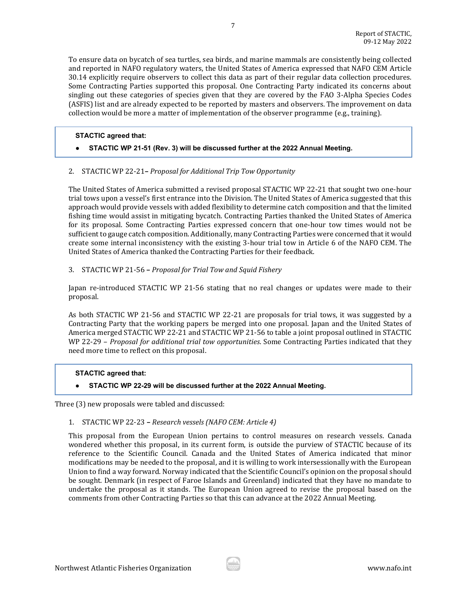To ensure data on bycatch of sea turtles, sea birds, and marine mammals are consistently being collected and reported in NAFO regulatory waters, the United States of America expressed that NAFO CEM Article 30.14 explicitly require observers to collect this data as part of their regular data collection procedures. Some Contracting Parties supported this proposal. One Contracting Party indicated its concerns about singling out these categories of species given that they are covered by the FAO 3-Alpha Species Codes (ASFIS) list and are already expected to be reported by masters and observers. The improvement on data collection would be more a matter of implementation of the observer programme (e.g., training).

# **STACTIC agreed that:**

● **STACTIC WP 21-51 (Rev. 3) will be discussed further at the 2022 Annual Meeting.**

### 2. STACTIC WP 22-21**–** *Proposal for Additional Trip Tow Opportunity*

The United States of America submitted a revised proposal STACTIC WP 22-21 that sought two one-hour trial tows upon a vessel's first entrance into the Division. The United States of America suggested that this approach would provide vessels with added flexibility to determine catch composition and that the limited fishing time would assist in mitigating bycatch. Contracting Parties thanked the United States of America for its proposal. Some Contracting Parties expressed concern that one-hour tow times would not be sufficient to gauge catch composition. Additionally, many Contracting Parties were concerned that it would create some internal inconsistency with the existing 3-hour trial tow in Article 6 of the NAFO CEM. The United States of America thanked the Contracting Parties for their feedback.

### 3. STACTIC WP 21-56 **–** *Proposal for Trial Tow and Squid Fishery*

Japan re-introduced STACTIC WP 21-56 stating that no real changes or updates were made to their proposal.

As both STACTIC WP 21-56 and STACTIC WP 22-21 are proposals for trial tows, it was suggested by a Contracting Party that the working papers be merged into one proposal. Japan and the United States of America merged STACTIC WP 22-21 and STACTIC WP 21-56 to table a joint proposal outlined in STACTIC WP 22-29 – *Proposal for additional trial tow opportunities*. Some Contracting Parties indicated that they need more time to reflect on this proposal.

# **STACTIC agreed that:**

# ● **STACTIC WP 22-29 will be discussed further at the 2022 Annual Meeting.**

Three (3) new proposals were tabled and discussed:

### 1. STACTIC WP 22-23 **–** *Research vessels (NAFO CEM: Article 4)*

This proposal from the European Union pertains to control measures on research vessels. Canada wondered whether this proposal, in its current form, is outside the purview of STACTIC because of its reference to the Scientific Council. Canada and the United States of America indicated that minor modifications may be needed to the proposal, and it is willing to work intersessionally with the European Union to find a way forward. Norway indicated that the Scientific Council's opinion on the proposal should be sought. Denmark (in respect of Faroe Islands and Greenland) indicated that they have no mandate to undertake the proposal as it stands. The European Union agreed to revise the proposal based on the comments from other Contracting Parties so that this can advance at the 2022 Annual Meeting.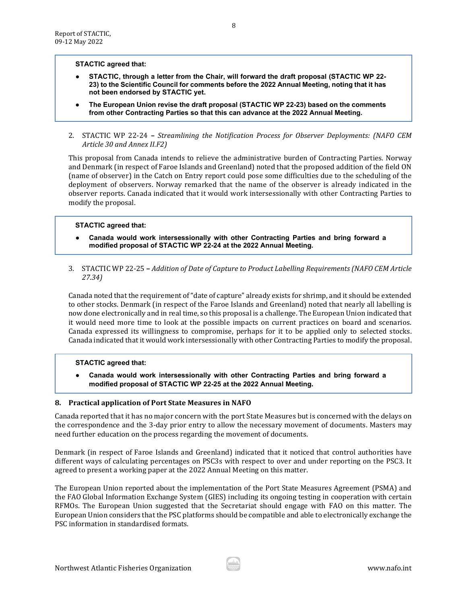#### **STACTIC agreed that:**

- **STACTIC, through a letter from the Chair, will forward the draft proposal (STACTIC WP 22- 23) to the Scientific Council for comments before the 2022 Annual Meeting, noting that it has not been endorsed by STACTIC yet.**
- The European Union revise the draft proposal (STACTIC WP 22-23) based on the comments **from other Contracting Parties so that this can advance at the 2022 Annual Meeting.**
- 2. STACTIC WP 22-24 **–** *Streamlining the Notification Process for Observer Deployments: (NAFO CEM Article 30 and Annex II.F2)*

This proposal from Canada intends to relieve the administrative burden of Contracting Parties. Norway and Denmark (in respect of Faroe Islands and Greenland) noted that the proposed addition of the field ON (name of observer) in the Catch on Entry report could pose some difficulties due to the scheduling of the deployment of observers. Norway remarked that the name of the observer is already indicated in the observer reports. Canada indicated that it would work intersessionally with other Contracting Parties to modify the proposal.

### **STACTIC agreed that:**

- **Canada would work intersessionally with other Contracting Parties and bring forward a modified proposal of STACTIC WP 22-24 at the 2022 Annual Meeting.**
- 3. STACTIC WP 22-25 **–** *Addition of Date of Capture to Product Labelling Requirements (NAFO CEM Article 27.34)*

Canada noted that the requirement of "date of capture" already exists for shrimp, and it should be extended to other stocks. Denmark (in respect of the Faroe Islands and Greenland) noted that nearly all labelling is now done electronically and in real time, so this proposal is a challenge. The European Union indicated that it would need more time to look at the possible impacts on current practices on board and scenarios. Canada expressed its willingness to compromise, perhaps for it to be applied only to selected stocks. Canada indicated that it would work intersessionally with other Contracting Parties to modify the proposal.

# **STACTIC agreed that:**

● **Canada would work intersessionally with other Contracting Parties and bring forward a modified proposal of STACTIC WP 22-25 at the 2022 Annual Meeting.**

### <span id="page-7-0"></span>**8. Practical application of Port State Measures in NAFO**

Canada reported that it has no major concern with the port State Measures but is concerned with the delays on the correspondence and the 3-day prior entry to allow the necessary movement of documents. Masters may need further education on the process regarding the movement of documents.

Denmark (in respect of Faroe Islands and Greenland) indicated that it noticed that control authorities have different ways of calculating percentages on PSC3s with respect to over and under reporting on the PSC3. It agreed to present a working paper at the 2022 Annual Meeting on this matter.

The European Union reported about the implementation of the Port State Measures Agreement (PSMA) and the FAO Global Information Exchange System (GIES) including its ongoing testing in cooperation with certain RFMOs. The European Union suggested that the Secretariat should engage with FAO on this matter. The European Union considers that the PSC platforms should be compatible and able to electronically exchange the PSC information in standardised formats.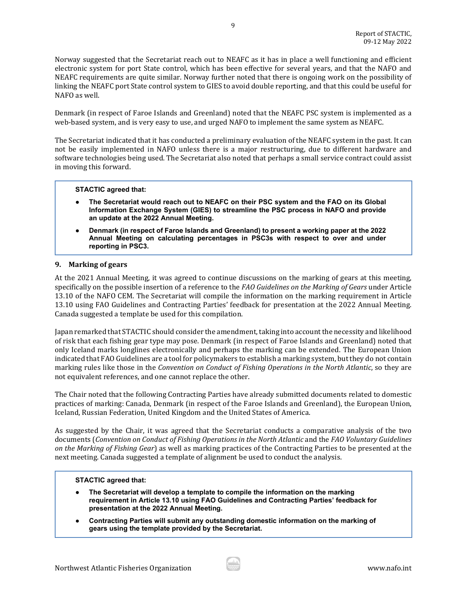Norway suggested that the Secretariat reach out to NEAFC as it has in place a well functioning and efficient electronic system for port State control, which has been effective for several years, and that the NAFO and NEAFC requirements are quite similar. Norway further noted that there is ongoing work on the possibility of linking the NEAFC port State control system to GIES to avoid double reporting, and that this could be useful for NAFO as well.

Denmark (in respect of Faroe Islands and Greenland) noted that the NEAFC PSC system is implemented as a web-based system, and is very easy to use, and urged NAFO to implement the same system as NEAFC.

The Secretariat indicated that it has conducted a preliminary evaluation of the NEAFC system in the past. It can not be easily implemented in NAFO unless there is a major restructuring, due to different hardware and software technologies being used. The Secretariat also noted that perhaps a small service contract could assist in moving this forward.

# **STACTIC agreed that:**

- **The Secretariat would reach out to NEAFC on their PSC system and the FAO on its Global Information Exchange System (GIES) to streamline the PSC process in NAFO and provide an update at the 2022 Annual Meeting.**
- **Denmark (in respect of Faroe Islands and Greenland) to present a working paper at the 2022 Annual Meeting on calculating percentages in PSC3s with respect to over and under reporting in PSC3.**

### <span id="page-8-0"></span>**9. Marking of gears**

At the 2021 Annual Meeting, it was agreed to continue discussions on the marking of gears at this meeting, specifically on the possible insertion of a reference to the *FAO Guidelines on the Marking of Gears* under Article 13.10 of the NAFO CEM. The Secretariat will compile the information on the marking requirement in Article 13.10 using FAO Guidelines and Contracting Parties' feedback for presentation at the 2022 Annual Meeting. Canada suggested a template be used for this compilation.

Japan remarked that STACTIC should consider the amendment, taking into account the necessity and likelihood of risk that each fishing gear type may pose. Denmark (in respect of Faroe Islands and Greenland) noted that only Iceland marks longlines electronically and perhaps the marking can be extended. The European Union indicated that FAO Guidelines are a tool for policymakers to establish a marking system, but they do not contain marking rules like those in the *Convention on Conduct of Fishing Operations in the North Atlantic*, so they are not equivalent references, and one cannot replace the other.

The Chair noted that the following Contracting Parties have already submitted documents related to domestic practices of marking: Canada, Denmark (in respect of the Faroe Islands and Greenland), the European Union, Iceland, Russian Federation, United Kingdom and the United States of America.

As suggested by the Chair, it was agreed that the Secretariat conducts a comparative analysis of the two documents (*Convention on Conduct of Fishing Operations in the North Atlantic* and the *FAO Voluntary Guidelines on the Marking of Fishing Gear*) as well as marking practices of the Contracting Parties to be presented at the next meeting. Canada suggested a template of alignment be used to conduct the analysis.

### **STACTIC agreed that:**

- **The Secretariat will develop a template to compile the information on the marking requirement in Article 13.10 using FAO Guidelines and Contracting Parties' feedback for presentation at the 2022 Annual Meeting.**
- **Contracting Parties will submit any outstanding domestic information on the marking of gears using the template provided by the Secretariat.**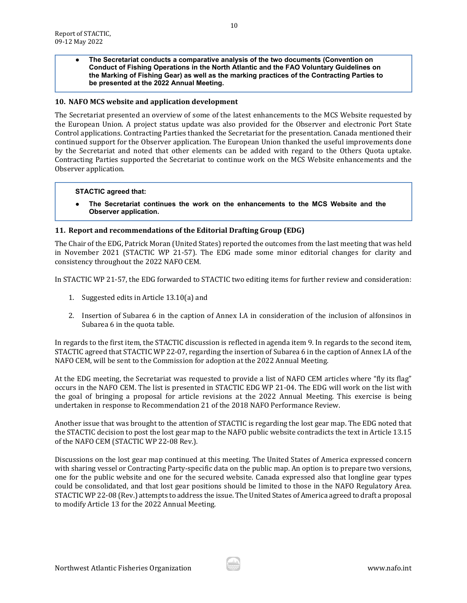● **The Secretariat conducts a comparative analysis of the two documents (Convention on Conduct of Fishing Operations in the North Atlantic and the FAO Voluntary Guidelines on the Marking of Fishing Gear) as well as the marking practices of the Contracting Parties to be presented at the 2022 Annual Meeting.**

### <span id="page-9-0"></span>**10. NAFO MCS website and application development**

The Secretariat presented an overview of some of the latest enhancements to the MCS Website requested by the European Union. A project status update was also provided for the Observer and electronic Port State Control applications. Contracting Parties thanked the Secretariat for the presentation. Canada mentioned their continued support for the Observer application. The European Union thanked the useful improvements done by the Secretariat and noted that other elements can be added with regard to the Others Quota uptake. Contracting Parties supported the Secretariat to continue work on the MCS Website enhancements and the Observer application.

#### **STACTIC agreed that:**

The Secretariat continues the work on the enhancements to the MCS Website and the **Observer application.**

### <span id="page-9-1"></span>**11. Report and recommendations of the Editorial Drafting Group (EDG)**

The Chair of the EDG, Patrick Moran (United States) reported the outcomes from the last meeting that was held in November 2021 (STACTIC WP 21-57). The EDG made some minor editorial changes for clarity and consistency throughout the 2022 NAFO CEM.

In STACTIC WP 21-57, the EDG forwarded to STACTIC two editing items for further review and consideration:

- 1. Suggested edits in Article 13.10(a) and
- 2. Insertion of Subarea 6 in the caption of Annex I.A in consideration of the inclusion of alfonsinos in Subarea 6 in the quota table.

In regards to the first item, the STACTIC discussion is reflected in agenda item 9. In regards to the second item, STACTIC agreed that STACTIC WP 22-07, regarding the insertion of Subarea 6 in the caption of Annex I.A of the NAFO CEM, will be sent to the Commission for adoption at the 2022 Annual Meeting.

At the EDG meeting, the Secretariat was requested to provide a list of NAFO CEM articles where "fly its flag" occurs in the NAFO CEM. The list is presented in STACTIC EDG WP 21-04. The EDG will work on the list with the goal of bringing a proposal for article revisions at the 2022 Annual Meeting. This exercise is being undertaken in response to Recommendation 21 of the 2018 NAFO Performance Review.

Another issue that was brought to the attention of STACTIC is regarding the lost gear map. The EDG noted that the STACTIC decision to post the lost gear map to the NAFO public website contradicts the text in Article 13.15 of the NAFO CEM (STACTIC WP 22-08 Rev.).

Discussions on the lost gear map continued at this meeting. The United States of America expressed concern with sharing vessel or Contracting Party-specific data on the public map. An option is to prepare two versions, one for the public website and one for the secured website. Canada expressed also that longline gear types could be consolidated, and that lost gear positions should be limited to those in the NAFO Regulatory Area. STACTIC WP 22-08 (Rev.) attempts to address the issue. The United States of America agreed to draft a proposal to modify Article 13 for the 2022 Annual Meeting.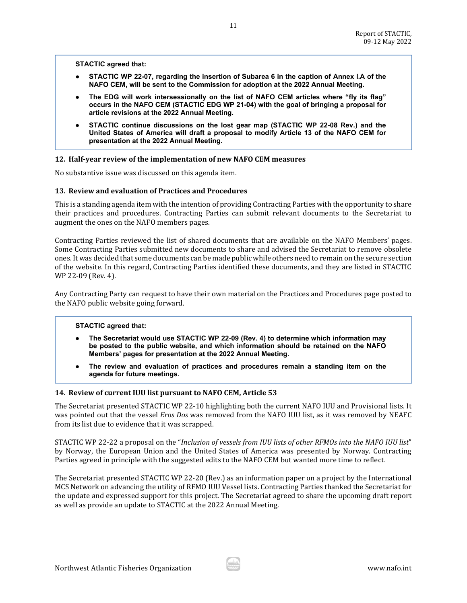**STACTIC agreed that:**

● **STACTIC WP 22-07, regarding the insertion of Subarea 6 in the caption of Annex I.A of the NAFO CEM, will be sent to the Commission for adoption at the 2022 Annual Meeting.**

11

- The EDG will work intersessionally on the list of NAFO CEM articles where "fly its flag" **occurs in the NAFO CEM (STACTIC EDG WP 21-04) with the goal of bringing a proposal for article revisions at the 2022 Annual Meeting.**
- **STACTIC continue discussions on the lost gear map (STACTIC WP 22-08 Rev.) and the United States of America will draft a proposal to modify Article 13 of the NAFO CEM for presentation at the 2022 Annual Meeting.**

#### <span id="page-10-0"></span>**12. Half-year review of the implementation of new NAFO CEM measures**

No substantive issue was discussed on this agenda item.

#### <span id="page-10-1"></span>**13. Review and evaluation of Practices and Procedures**

This is a standing agenda item with the intention of providing Contracting Parties with the opportunity to share their practices and procedures. Contracting Parties can submit relevant documents to the Secretariat to augment the ones on the NAFO members pages.

Contracting Parties reviewed the list of shared documents that are available on the NAFO Members' pages. Some Contracting Parties submitted new documents to share and advised the Secretariat to remove obsolete ones. It was decided that some documents can be made public while others need to remain on the secure section of the website. In this regard, Contracting Parties identified these documents, and they are listed in STACTIC WP 22-09 (Rev. 4).

Any Contracting Party can request to have their own material on the Practices and Procedures page posted to the NAFO public website going forward.

#### **STACTIC agreed that:**

- **The Secretariat would use STACTIC WP 22-09 (Rev. 4) to determine which information may be posted to the public website, and which information should be retained on the NAFO Members' pages for presentation at the 2022 Annual Meeting.**
- The review and evaluation of practices and procedures remain a standing item on the **agenda for future meetings.**

#### <span id="page-10-2"></span>**14. Review of current IUU list pursuant to NAFO CEM, Article 53**

The Secretariat presented STACTIC WP 22-10 highlighting both the current NAFO IUU and Provisional lists. It was pointed out that the vessel *Eros Dos* was removed from the NAFO IUU list, as it was removed by NEAFC from its list due to evidence that it was scrapped.

STACTIC WP 22-22 a proposal on the "*Inclusion of vessels from IUU lists of other RFMOs into the NAFO IUU list*" by Norway, the European Union and the United States of America was presented by Norway. Contracting Parties agreed in principle with the suggested edits to the NAFO CEM but wanted more time to reflect.

The Secretariat presented STACTIC WP 22-20 (Rev.) as an information paper on a project by the International MCS Network on advancing the utility of RFMO IUU Vessel lists. Contracting Parties thanked the Secretariat for the update and expressed support for this project. The Secretariat agreed to share the upcoming draft report as well as provide an update to STACTIC at the 2022 Annual Meeting.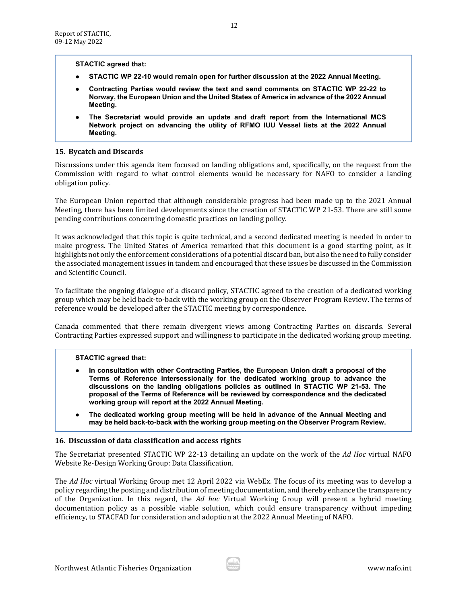**STACTIC agreed that:** 

- **STACTIC WP 22-10 would remain open for further discussion at the 2022 Annual Meeting.**
- **Contracting Parties would review the text and send comments on STACTIC WP 22-22 to Norway, the European Union and the United States of America in advance of the 2022 Annual Meeting.**
- **The Secretariat would provide an update and draft report from the International MCS Network project on advancing the utility of RFMO IUU Vessel lists at the 2022 Annual Meeting.**

# <span id="page-11-0"></span>**15. Bycatch and Discards**

Discussions under this agenda item focused on landing obligations and, specifically, on the request from the Commission with regard to what control elements would be necessary for NAFO to consider a landing obligation policy.

The European Union reported that although considerable progress had been made up to the 2021 Annual Meeting, there has been limited developments since the creation of STACTIC WP 21-53. There are still some pending contributions concerning domestic practices on landing policy.

It was acknowledged that this topic is quite technical, and a second dedicated meeting is needed in order to make progress. The United States of America remarked that this document is a good starting point, as it highlights not only the enforcement considerations of a potential discard ban, but also the need to fully consider the associated management issues in tandem and encouraged that these issues be discussed in the Commission and Scientific Council.

To facilitate the ongoing dialogue of a discard policy, STACTIC agreed to the creation of a dedicated working group which may be held back-to-back with the working group on the Observer Program Review. The terms of reference would be developed after the STACTIC meeting by correspondence.

Canada commented that there remain divergent views among Contracting Parties on discards. Several Contracting Parties expressed support and willingness to participate in the dedicated working group meeting.

# **STACTIC agreed that:**

- In consultation with other Contracting Parties, the European Union draft a proposal of the **Terms of Reference intersessionally for the dedicated working group to advance the discussions on the landing obligations policies as outlined in STACTIC WP 21-53. The proposal of the Terms of Reference will be reviewed by correspondence and the dedicated working group will report at the 2022 Annual Meeting.**
- The dedicated working group meeting will be held in advance of the Annual Meeting and **may be held back-to-back with the working group meeting on the Observer Program Review.**

# <span id="page-11-1"></span>**16. Discussion of data classification and access rights**

The Secretariat presented STACTIC WP 22-13 detailing an update on the work of the *Ad Hoc* virtual NAFO Website Re-Design Working Group: Data Classification.

The *Ad Hoc* virtual Working Group met 12 April 2022 via WebEx. The focus of its meeting was to develop a policy regarding the posting and distribution of meeting documentation, and thereby enhance the transparency of the Organization. In this regard, the *Ad hoc* Virtual Working Group will present a hybrid meeting documentation policy as a possible viable solution, which could ensure transparency without impeding efficiency, to STACFAD for consideration and adoption at the 2022 Annual Meeting of NAFO.

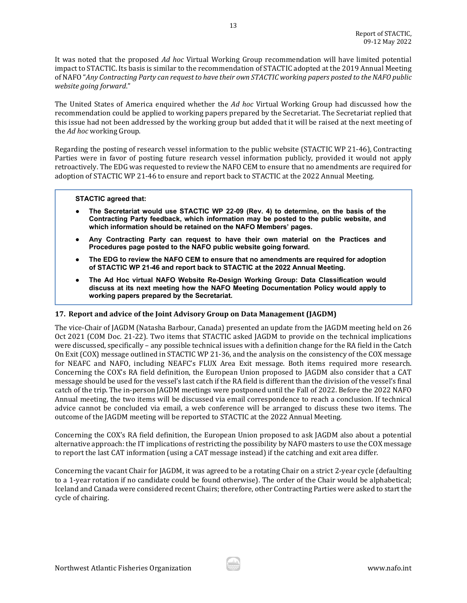It was noted that the proposed *Ad hoc* Virtual Working Group recommendation will have limited potential impact to STACTIC. Its basis is similar to the recommendation of STACTIC adopted at the 2019 Annual Meeting of NAFO "*Any Contracting Party can request to have their own STACTIC working papers posted to the NAFO public website going forward*."

The United States of America enquired whether the *Ad hoc* Virtual Working Group had discussed how the recommendation could be applied to working papers prepared by the Secretariat. The Secretariat replied that this issue had not been addressed by the working group but added that it will be raised at the next meeting of the *Ad hoc* working Group.

Regarding the posting of research vessel information to the public website (STACTIC WP 21-46), Contracting Parties were in favor of posting future research vessel information publicly, provided it would not apply retroactively. The EDG was requested to review the NAFO CEM to ensure that no amendments are required for adoption of STACTIC WP 21-46 to ensure and report back to STACTIC at the 2022 Annual Meeting.

### **STACTIC agreed that:**

- **The Secretariat would use STACTIC WP 22-09 (Rev. 4) to determine, on the basis of the Contracting Party feedback, which information may be posted to the public website, and which information should be retained on the NAFO Members' pages.**
- **Any Contracting Party can request to have their own material on the Practices and Procedures page posted to the NAFO public website going forward.**
- The EDG to review the NAFO CEM to ensure that no amendments are required for adoption **of STACTIC WP 21-46 and report back to STACTIC at the 2022 Annual Meeting.**
- **The Ad Hoc virtual NAFO Website Re-Design Working Group: Data Classification would discuss at its next meeting how the NAFO Meeting Documentation Policy would apply to working papers prepared by the Secretariat.**

# <span id="page-12-0"></span>**17. Report and advice of the Joint Advisory Group on Data Management (JAGDM)**

The vice-Chair of JAGDM (Natasha Barbour, Canada) presented an update from the JAGDM meeting held on 26 Oct 2021 (COM Doc. 21-22). Two items that STACTIC asked JAGDM to provide on the technical implications were discussed, specifically – any possible technical issues with a definition change for the RA field in the Catch On Exit (COX) message outlined in STACTIC WP 21-36, and the analysis on the consistency of the COX message for NEAFC and NAFO, including NEAFC's FLUX Area Exit message. Both items required more research. Concerning the COX's RA field definition, the European Union proposed to JAGDM also consider that a CAT message should be used for the vessel's last catch if the RA field is different than the division of the vessel's final catch of the trip. The in-person JAGDM meetings were postponed until the Fall of 2022. Before the 2022 NAFO Annual meeting, the two items will be discussed via email correspondence to reach a conclusion. If technical advice cannot be concluded via email, a web conference will be arranged to discuss these two items. The outcome of the JAGDM meeting will be reported to STACTIC at the 2022 Annual Meeting.

Concerning the COX's RA field definition, the European Union proposed to ask JAGDM also about a potential alternative approach: the IT implications of restricting the possibility by NAFO masters to use the COX message to report the last CAT information (using a CAT message instead) if the catching and exit area differ.

Concerning the vacant Chair for JAGDM, it was agreed to be a rotating Chair on a strict 2-year cycle (defaulting to a 1-year rotation if no candidate could be found otherwise). The order of the Chair would be alphabetical; Iceland and Canada were considered recent Chairs; therefore, other Contracting Parties were asked to start the cycle of chairing.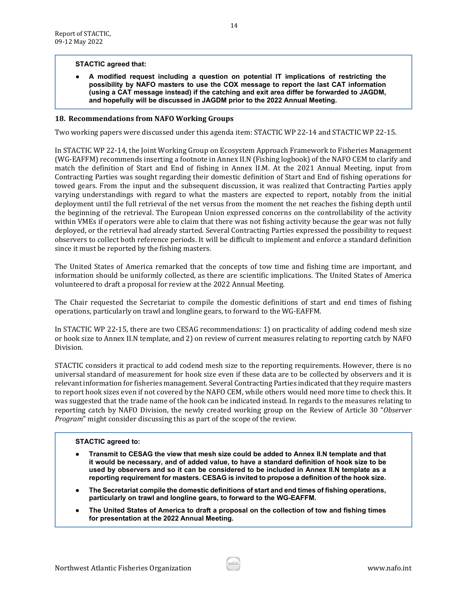### **STACTIC agreed that:**

● **A modified request including a question on potential IT implications of restricting the possibility by NAFO masters to use the COX message to report the last CAT information (using a CAT message instead) if the catching and exit area differ be forwarded to JAGDM, and hopefully will be discussed in JAGDM prior to the 2022 Annual Meeting.**

#### <span id="page-13-0"></span>**18. Recommendations from NAFO Working Groups**

Two working papers were discussed under this agenda item: STACTIC WP 22-14 and STACTIC WP 22-15.

In STACTIC WP 22-14, the Joint Working Group on Ecosystem Approach Framework to Fisheries Management (WG-EAFFM) recommends inserting a footnote in Annex II.N (Fishing logbook) of the NAFO CEM to clarify and match the definition of Start and End of fishing in Annex II.M. At the 2021 Annual Meeting, input from Contracting Parties was sought regarding their domestic definition of Start and End of fishing operations for towed gears. From the input and the subsequent discussion, it was realized that Contracting Parties apply varying understandings with regard to what the masters are expected to report, notably from the initial deployment until the full retrieval of the net versus from the moment the net reaches the fishing depth until the beginning of the retrieval. The European Union expressed concerns on the controllability of the activity within VMEs if operators were able to claim that there was not fishing activity because the gear was not fully deployed, or the retrieval had already started. Several Contracting Parties expressed the possibility to request observers to collect both reference periods. It will be difficult to implement and enforce a standard definition since it must be reported by the fishing masters.

The United States of America remarked that the concepts of tow time and fishing time are important, and information should be uniformly collected, as there are scientific implications. The United States of America volunteered to draft a proposal for review at the 2022 Annual Meeting.

The Chair requested the Secretariat to compile the domestic definitions of start and end times of fishing operations, particularly on trawl and longline gears, to forward to the WG-EAFFM.

In STACTIC WP 22-15, there are two CESAG recommendations: 1) on practicality of adding codend mesh size or hook size to Annex II.N template, and 2) on review of current measures relating to reporting catch by NAFO Division.

STACTIC considers it practical to add codend mesh size to the reporting requirements. However, there is no universal standard of measurement for hook size even if these data are to be collected by observers and it is relevant information for fisheries management. Several Contracting Parties indicated that they require masters to report hook sizes even if not covered by the NAFO CEM, while others would need more time to check this. It was suggested that the trade name of the hook can be indicated instead. In regards to the measures relating to reporting catch by NAFO Division, the newly created working group on the Review of Article 30 "*Observer Program*" might consider discussing this as part of the scope of the review.

### **STACTIC agreed to:**

- **Transmit to CESAG the view that mesh size could be added to Annex II.N template and that it would be necessary, and of added value, to have a standard definition of hook size to be used by observers and so it can be considered to be included in Annex II.N template as a reporting requirement for masters. CESAG is invited to propose a definition of the hook size.**
- **The Secretariat compile the domestic definitions of start and end times of fishing operations, particularly on trawl and longline gears, to forward to the WG-EAFFM.**
- **The United States of America to draft a proposal on the collection of tow and fishing times for presentation at the 2022 Annual Meeting.**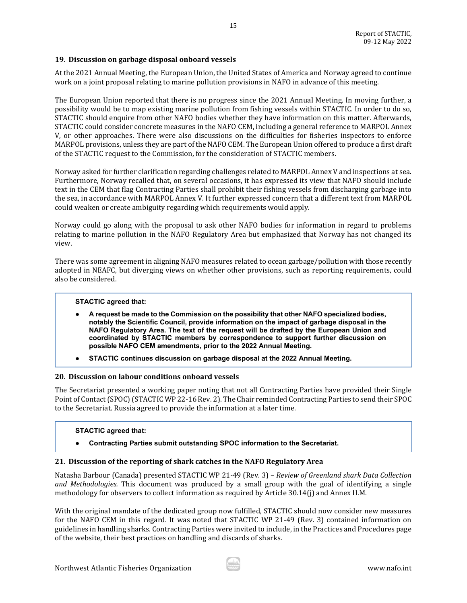# <span id="page-14-0"></span>**19. Discussion on garbage disposal onboard vessels**

At the 2021 Annual Meeting, the European Union, the United States of America and Norway agreed to continue work on a joint proposal relating to marine pollution provisions in NAFO in advance of this meeting.

15

The European Union reported that there is no progress since the 2021 Annual Meeting. In moving further, a possibility would be to map existing marine pollution from fishing vessels within STACTIC. In order to do so, STACTIC should enquire from other NAFO bodies whether they have information on this matter. Afterwards, STACTIC could consider concrete measures in the NAFO CEM, including a general reference to MARPOL Annex V, or other approaches. There were also discussions on the difficulties for fisheries inspectors to enforce MARPOL provisions, unless they are part of the NAFO CEM. The European Union offered to produce a first draft of the STACTIC request to the Commission, for the consideration of STACTIC members.

Norway asked for further clarification regarding challenges related to MARPOL Annex V and inspections at sea. Furthermore, Norway recalled that, on several occasions, it has expressed its view that NAFO should include text in the CEM that flag Contracting Parties shall prohibit their fishing vessels from discharging garbage into the sea, in accordance with MARPOL Annex V. It further expressed concern that a different text from MARPOL could weaken or create ambiguity regarding which requirements would apply.

Norway could go along with the proposal to ask other NAFO bodies for information in regard to problems relating to marine pollution in the NAFO Regulatory Area but emphasized that Norway has not changed its view.

There was some agreement in aligning NAFO measures related to ocean garbage/pollution with those recently adopted in NEAFC, but diverging views on whether other provisions, such as reporting requirements, could also be considered.

### **STACTIC agreed that:**

- **A request be made to the Commission on the possibility that other NAFO specialized bodies, notably the Scientific Council, provide information on the impact of garbage disposal in the NAFO Regulatory Area. The text of the request will be drafted by the European Union and coordinated by STACTIC members by correspondence to support further discussion on possible NAFO CEM amendments, prior to the 2022 Annual Meeting.**
- STACTIC continues discussion on garbage disposal at the 2022 Annual Meeting.

# <span id="page-14-1"></span>**20. Discussion on labour conditions onboard vessels**

The Secretariat presented a working paper noting that not all Contracting Parties have provided their Single Point of Contact (SPOC) (STACTIC WP 22-16 Rev. 2). The Chair reminded Contracting Parties to send their SPOC to the Secretariat. Russia agreed to provide the information at a later time.

### **STACTIC agreed that:**

● **Contracting Parties submit outstanding SPOC information to the Secretariat.**

### <span id="page-14-2"></span>**21. Discussion of the reporting of shark catches in the NAFO Regulatory Area**

Natasha Barbour (Canada) presented STACTIC WP 21-49 (Rev. 3) – *Review of Greenland shark Data Collection and Methodologies.* This document was produced by a small group with the goal of identifying a single methodology for observers to collect information as required by Article 30.14(j) and Annex II.M.

With the original mandate of the dedicated group now fulfilled, STACTIC should now consider new measures for the NAFO CEM in this regard. It was noted that STACTIC WP 21-49 (Rev. 3) contained information on guidelines in handling sharks. Contracting Parties were invited to include, in the Practices and Procedures page of the website, their best practices on handling and discards of sharks.

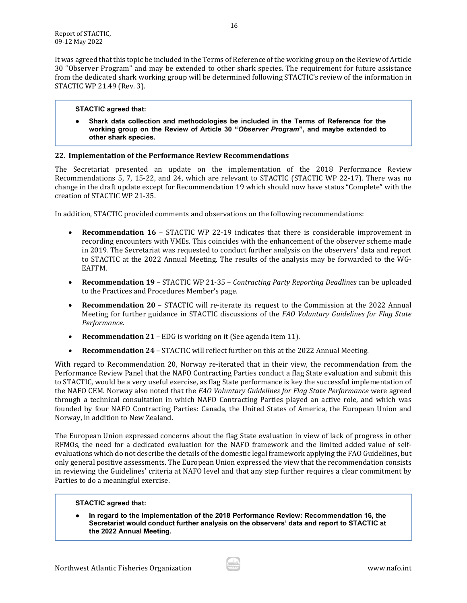It was agreed that this topic be included in the Terms of Reference of the working group on the Review of Article 30 "Observer Program" and may be extended to other shark species. The requirement for future assistance from the dedicated shark working group will be determined following STACTIC's review of the information in STACTIC WP 21.49 (Rev. 3).

# **STACTIC agreed that:**

Shark data collection and methodologies be included in the Terms of Reference for the **working group on the Review of Article 30 "***Observer Program***", and maybe extended to other shark species.**

# <span id="page-15-0"></span>**22. Implementation of the Performance Review Recommendations**

The Secretariat presented an update on the implementation of the 2018 Performance Review Recommendations 5, 7, 15-22, and 24, which are relevant to STACTIC (STACTIC WP 22-17). There was no change in the draft update except for Recommendation 19 which should now have status "Complete" with the creation of STACTIC WP 21-35.

In addition, STACTIC provided comments and observations on the following recommendations:

- **Recommendation 16** STACTIC WP 22-19 indicates that there is considerable improvement in recording encounters with VMEs. This coincides with the enhancement of the observer scheme made in 2019. The Secretariat was requested to conduct further analysis on the observers' data and report to STACTIC at the 2022 Annual Meeting. The results of the analysis may be forwarded to the WG-EAFFM.
- **Recommendation 19** STACTIC WP 21-35 *Contracting Party Reporting Deadlines* can be uploaded to the Practices and Procedures Member's page.
- **Recommendation 20** STACTIC will re-iterate its request to the Commission at the 2022 Annual Meeting for further guidance in STACTIC discussions of the *FAO Voluntary Guidelines for Flag State Performance*.
- **Recommendation 21** EDG is working on it (See agenda item 11).
- **Recommendation 24** STACTIC will reflect further on this at the 2022 Annual Meeting.

With regard to Recommendation 20, Norway re-iterated that in their view, the recommendation from the Performance Review Panel that the NAFO Contracting Parties conduct a flag State evaluation and submit this to STACTIC, would be a very useful exercise, as flag State performance is key the successful implementation of the NAFO CEM. Norway also noted that the *FAO Voluntary Guidelines for Flag State Performance* were agreed through a technical consultation in which NAFO Contracting Parties played an active role, and which was founded by four NAFO Contracting Parties: Canada, the United States of America, the European Union and Norway, in addition to New Zealand.

The European Union expressed concerns about the flag State evaluation in view of lack of progress in other RFMOs, the need for a dedicated evaluation for the NAFO framework and the limited added value of selfevaluations which do not describe the details of the domestic legal framework applying the FAO Guidelines, but only general positive assessments. The European Union expressed the view that the recommendation consists in reviewing the Guidelines' criteria at NAFO level and that any step further requires a clear commitment by Parties to do a meaningful exercise.

### **STACTIC agreed that:**

● **In regard to the implementation of the 2018 Performance Review: Recommendation 16, the Secretariat would conduct further analysis on the observers' data and report to STACTIC at the 2022 Annual Meeting.**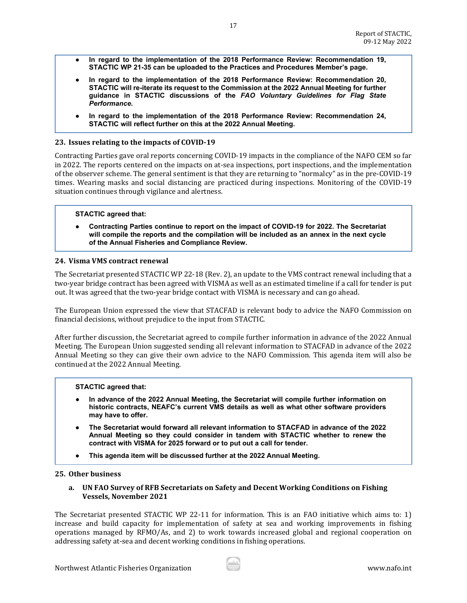In regard to the implementation of the 2018 Performance Review: Recommendation 19, **STACTIC WP 21-35 can be uploaded to the Practices and Procedures Member's page.**

17

- In regard to the implementation of the 2018 Performance Review: Recommendation 20, **STACTIC will re-iterate its request to the Commission at the 2022 Annual Meeting for further guidance in STACTIC discussions of the** *FAO Voluntary Guidelines for Flag State Performance***.**
- **In regard to the implementation of the 2018 Performance Review: Recommendation 24, STACTIC will reflect further on this at the 2022 Annual Meeting.**

# <span id="page-16-0"></span>**23. Issues relating to the impacts of COVID-19**

Contracting Parties gave oral reports concerning COVID-19 impacts in the compliance of the NAFO CEM so far in 2022. The reports centered on the impacts on at-sea inspections, port inspections, and the implementation of the observer scheme. The general sentiment is that they are returning to "normalcy" as in the pre-COVID-19 times. Wearing masks and social distancing are practiced during inspections. Monitoring of the COVID-19 situation continues through vigilance and alertness.

# **STACTIC agreed that:**

● **Contracting Parties continue to report on the impact of COVID-19 for 2022. The Secretariat will compile the reports and the compilation will be included as an annex in the next cycle of the Annual Fisheries and Compliance Review.**

### <span id="page-16-1"></span>**24. Visma VMS contract renewal**

The Secretariat presented STACTIC WP 22-18 (Rev. 2), an update to the VMS contract renewal including that a two-year bridge contract has been agreed with VISMA as well as an estimated timeline if a call for tender is put out. It was agreed that the two-year bridge contact with VISMA is necessary and can go ahead.

The European Union expressed the view that STACFAD is relevant body to advice the NAFO Commission on financial decisions, without prejudice to the input from STACTIC.

After further discussion, the Secretariat agreed to compile further information in advance of the 2022 Annual Meeting. The European Union suggested sending all relevant information to STACFAD in advance of the 2022 Annual Meeting so they can give their own advice to the NAFO Commission. This agenda item will also be continued at the 2022 Annual Meeting.

### **STACTIC agreed that:**

- **In advance of the 2022 Annual Meeting, the Secretariat will compile further information on historic contracts, NEAFC's current VMS details as well as what other software providers may have to offer.**
- **The Secretariat would forward all relevant information to STACFAD in advance of the 2022 Annual Meeting so they could consider in tandem with STACTIC whether to renew the contract with VISMA for 2025 forward or to put out a call for tender.**
- **This agenda item will be discussed further at the 2022 Annual Meeting.**

### <span id="page-16-3"></span><span id="page-16-2"></span>**25. Other business**

**a. UN FAO Survey of RFB Secretariats on Safety and Decent Working Conditions on Fishing Vessels, November 2021**

The Secretariat presented STACTIC WP 22-11 for information. This is an FAO initiative which aims to: 1) increase and build capacity for implementation of safety at sea and working improvements in fishing operations managed by RFMO/As, and 2) to work towards increased global and regional cooperation on addressing safety at-sea and decent working conditions in fishing operations.

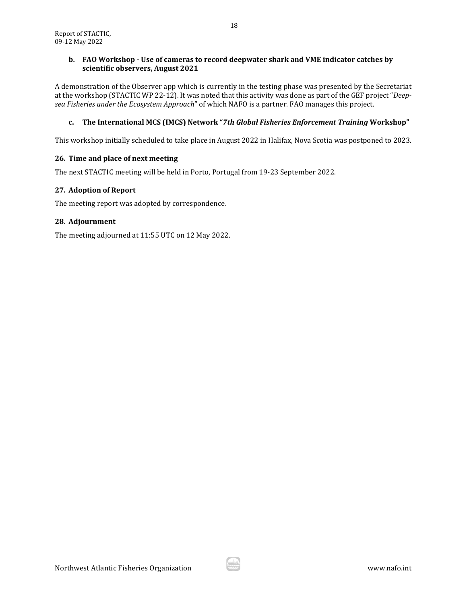# <span id="page-17-0"></span>**b. FAO Workshop - Use of cameras to record deepwater shark and VME indicator catches by scientific observers, August 2021**

A demonstration of the Observer app which is currently in the testing phase was presented by the Secretariat at the workshop (STACTIC WP 22-12). It was noted that this activity was done as part of the GEF project "*Deepsea Fisheries under the Ecosystem Approach*" of which NAFO is a partner. FAO manages this project.

# <span id="page-17-1"></span>**c. The International MCS (IMCS) Network "***7th Global Fisheries Enforcement Training* **Workshop"**

This workshop initially scheduled to take place in August 2022 in Halifax, Nova Scotia was postponed to 2023.

# <span id="page-17-2"></span>**26. Time and place of next meeting**

The next STACTIC meeting will be held in Porto, Portugal from 19-23 September 2022.

# <span id="page-17-3"></span>**27. Adoption of Report**

The meeting report was adopted by correspondence.

# <span id="page-17-4"></span>**28. Adjournment**

The meeting adjourned at 11:55 UTC on 12 May 2022.

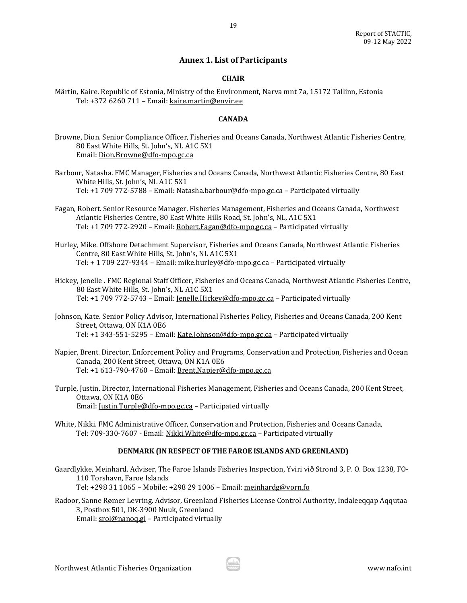# **Annex 1. List of Participants**

# **CHAIR**

<span id="page-18-0"></span>Märtin, Kaire. Republic of Estonia, Ministry of the Environment, Narva mnt 7a, 15172 Tallinn, Estonia Tel: +372 6260 711 – Email[: kaire.martin@envir.ee](mailto:kaire.martin@envir.ee)

# **CANADA**

- Browne, Dion. Senior Compliance Officer, Fisheries and Oceans Canada, Northwest Atlantic Fisheries Centre, 80 East White Hills, St. John's, NL A1C 5X1 Email[: Dion.Browne@dfo-mpo.gc.ca](mailto:Dion.Browne@dfo-mpo.gc.ca)
- Barbour, Natasha. FMC Manager, Fisheries and Oceans Canada, Northwest Atlantic Fisheries Centre, 80 East White Hills, St. John's, NL A1C 5X1 Tel: +1 709 772-5788 – Email[: Natasha.barbour@dfo-mpo.gc.ca](mailto:Natasha.barbour@dfo-mpo.gc.ca) – Participated virtually
- Fagan, Robert. Senior Resource Manager. Fisheries Management, Fisheries and Oceans Canada, Northwest Atlantic Fisheries Centre, 80 East White Hills Road, St. John's, NL, A1C 5X1 Tel: +1 709 772-2920 - Email: Robert. Fagan@dfo-mpo.gc.ca - Participated virtually
- Hurley, Mike. Offshore Detachment Supervisor, Fisheries and Oceans Canada, Northwest Atlantic Fisheries Centre, 80 East White Hills, St. John's, NL A1C 5X1 Tel: + 1 709 227-9344 – Email: [mike.hurley@dfo-mpo.gc.ca](mailto:mike.hurley@dfo-mpo.gc.ca) – Participated virtually
- Hickey, Jenelle . FMC Regional Staff Officer, Fisheries and Oceans Canada, Northwest Atlantic Fisheries Centre, 80 East White Hills, St. John's, NL A1C 5X1 Tel: +1 709 772-5743 – Email: [Jenelle.Hickey@dfo-mpo.gc.ca](mailto:Jenelle.Hickey@dfo-mpo.gc.ca) – Participated virtually
- Johnson, Kate. Senior Policy Advisor, International Fisheries Policy, Fisheries and Oceans Canada, 200 Kent Street, Ottawa, ON K1A 0E6 Tel: +1 343-551-5295 - Email[: Kate.Johnson@dfo-mpo.gc.ca](mailto:Kate.Johnson@dfo-mpo.gc.ca) - Participated virtually
- Napier, Brent. Director, Enforcement Policy and Programs, Conservation and Protection, Fisheries and Ocean Canada, 200 Kent Street, Ottawa, ON K1A 0E6 Tel: +1 613-790-4760 – Email[: Brent.Napier@dfo-mpo.gc.ca](mailto:Brent.Napier@dfo-mpo.gc.ca)
- Turple, Justin. Director, International Fisheries Management, Fisheries and Oceans Canada, 200 Kent Street, Ottawa, ON K1A 0E6 Email[: Justin.Turple@dfo-mpo.gc.ca](mailto:Justin.Turple@dfo-mpo.gc.ca) – Participated virtually
- White, Nikki. FMC Administrative Officer, Conservation and Protection, Fisheries and Oceans Canada, Tel: 709-330-7607 - Email[: Nikki.White@dfo-mpo.gc.ca](mailto:Nikki.White@dfo-mpo.gc.ca) - Participated virtually

### **DENMARK (IN RESPECT OF THE FAROE ISLANDS AND GREENLAND)**

Gaardlykke, Meinhard. Adviser, The Faroe Islands Fisheries Inspection, Yviri við Strond 3, P. O. Box 1238, FO-110 Torshavn, Faroe Islands Tel: +298 31 1065 – Mobile: +298 29 1006 – Email[: meinhardg@vorn.fo](mailto:meinhardg@vorn.fo)

Radoor, Sanne Rømer Levring. Advisor, Greenland Fisheries License Control Authority, Indaleeqqap Aqqutaa 3, Postbox 501, DK-3900 Nuuk, Greenland Email[: srol@nanoq.gl](mailto:srol@nanoq.gl) – Participated virtually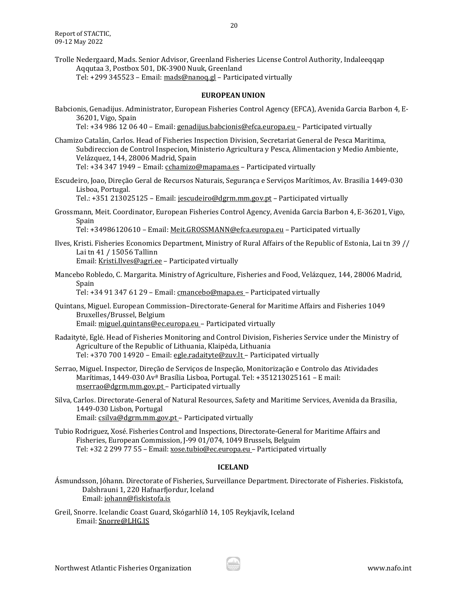Trolle Nedergaard, Mads. Senior Advisor, Greenland Fisheries License Control Authority, Indaleeqqap Aqqutaa 3, Postbox 501, DK-3900 Nuuk, Greenland Tel: +299 345523 – Email: [mads@nanoq.gl](mailto:mads@nanoq.gl) – Participated virtually

#### **EUROPEAN UNION**

Babcionis, Genadijus. Administrator, European Fisheries Control Agency (EFCA), Avenida Garcia Barbon 4, E-36201, Vigo, Spain

Tel: +34 986 12 06 40 – Email[: genadijus.babcionis@efca.europa.eu](mailto:genadijus.babcionis@efca.europa.eu) – Participated virtually

- Chamizo Catalán, Carlos. Head of Fisheries Inspection Division, Secretariat General de Pesca Maritima, Subdireccion de Control Inspecion, Ministerio Agricultura y Pesca, Alimentacion y Medio Ambiente, Velázquez, 144, 28006 Madrid, Spain Tel: +34 347 1949 – Email: [cchamizo@mapama.es](mailto:cchamizo@mapama.es) – Participated virtually
- Escudeiro, Joao, Direção Geral de Recursos Naturais, Segurança e Serviços Marítimos, Av. Brasilia 1449-030 Lisboa, Portugal.

Tel.: +351 213025125 – Email[: jescudeiro@dgrm.mm.gov.pt](mailto:jescudeiro@dgrm.mm.gov.pt) – Participated virtually

Grossmann, Meit. Coordinator, European Fisheries Control Agency, Avenida Garcia Barbon 4, E-36201, Vigo, Spain

Tel: +34986120610 - Email[: Meit.GROSSMANN@efca.europa.eu](mailto:Meit.GROSSMANN@efca.europa.eu) - Participated virtually

Ilves, Kristi. Fisheries Economics Department, Ministry of Rural Affairs of the Republic of Estonia, Lai tn 39 // Lai tn 41 / 15056 Tallinn

Email[: Kristi.Ilves@agri.ee](mailto:Kristi.Ilves@agri.ee) – Participated virtually

Mancebo Robledo, C. Margarita. Ministry of Agriculture, Fisheries and Food, Velázquez, 144, 28006 Madrid, Spain

Tel: +34 91 347 61 29 – Email[: cmancebo@mapa.es –](mailto:cmancebo@mapa.es) Participated virtually

- Quintans, Miguel. European Commission–Directorate-General for Maritime Affairs and Fisheries 1049 Bruxelles/Brussel, Belgium Email[: miguel.quintans@ec.europa.eu](mailto:miguel.quintans@ec.europa.eu) – Participated virtually
- Radaitytė, Eglė. Head of Fisheries Monitoring and Control Division, Fisheries Service under the Ministry of Agriculture of the Republic of Lithuania, Klaipėda, Lithuania Tel: +370 700 14920 - Email: [egle.radaityte@zuv.lt](mailto:egle.radaityte@zuv.lt) - Participated virtually
- Serrao, Miguel. Inspector, Direção de Serviços de Inspeção, Monitorização e Controlo das Atividades Marítimas, 1449-030 Avª Brasília Lisboa, Portugal. Tel: +351213025161 – E mail: [mserrao@dgrm.mm.gov.pt](mailto:mserrao@dgrm.mm.gov.pt) – Participated virtually
- Silva, Carlos. Directorate-General of Natural Resources, Safety and Maritime Services, Avenida da Brasilia, 1449-030 Lisbon, Portugal Email[: csilva@dgrm.mm.gov.pt](mailto:csilva@dgrm.mm.gov.pt) – Participated virtually
- Tubio Rodriguez, Xosé. Fisheries Control and Inspections, Directorate-General for Maritime Affairs and Fisheries, European Commission, J-99 01/074, 1049 Brussels, Belguim Tel: +32 2 299 77 55 – Email: [xose.tubio@ec.europa.eu](mailto:xose.tubio@ec.europa.eu) – Participated virtually

## **ICELAND**

- Ásmundsson, Jóhann. Directorate of Fisheries, Surveillance Department. Directorate of Fisheries. Fiskistofa, Dalshrauni 1, 220 Hafnarfjordur, Iceland Email[: johann@fiskistofa.is](mailto:johann@fiskistofa.is)
- Greil, Snorre. Icelandic Coast Guard, Skógarhlíð 14, 105 Reykjavík, Iceland Email[: Snorre@LHG.IS](mailto:Snorre@LHG.IS)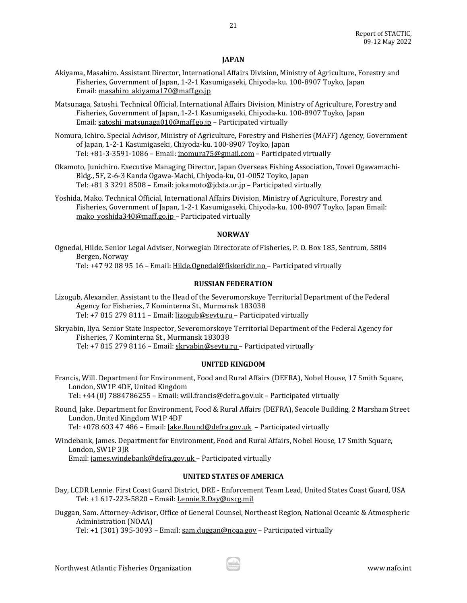# **JAPAN**

- Akiyama, Masahiro. Assistant Director, International Affairs Division, Ministry of Agriculture, Forestry and Fisheries, Government of Japan, 1-2-1 Kasumigaseki, Chiyoda-ku. 100-8907 Toyko, Japan Email[: masahiro\\_akiyama170@maff.go.jp](mailto:masahiro_akiyama170@maff.go.jp)
- Matsunaga, Satoshi. Technical Official, International Affairs Division, Ministry of Agriculture, Forestry and Fisheries, Government of Japan, 1-2-1 Kasumigaseki, Chiyoda-ku. 100-8907 Toyko, Japan Email[: satoshi\\_matsunaga010@maff.go.jp](mailto:satoshi_matsunaga010@maff.go.jp) – Participated virtually
- Nomura, Ichiro. Special Advisor, Ministry of Agriculture, Forestry and Fisheries (MAFF) Agency, Government of Japan, 1-2-1 Kasumigaseki, Chiyoda-ku. 100-8907 Toyko, Japan Tel: +81-3-3591-1086 – Email[: inomura75@gmail.com](mailto:inomura75@gmail.com) – Participated virtually
- Okamoto, Junichiro. Executive Managing Director, Japan Overseas Fishing Association, Tovei Ogawamachi-Bldg., 5F, 2-6-3 Kanda Ogawa-Machi, Chiyoda-ku, 01-0052 Toyko, Japan Tel: +81 3 3291 8508 – Email[: jokamoto@jdsta.or.jp](mailto:jokamoto@jdsta.or.jp) – Participated virtually
- Yoshida, Mako. Technical Official, International Affairs Division, Ministry of Agriculture, Forestry and Fisheries, Government of Japan, 1-2-1 Kasumigaseki, Chiyoda-ku. 100-8907 Toyko, Japan Email: [mako\\_yoshida340@maff.go.jp](mailto:mako_yoshida340@maff.go.jp) - Participated virtually

# **NORWAY**

Ognedal, Hilde. Senior Legal Adviser, Norwegian Directorate of Fisheries, P. O. Box 185, Sentrum, 5804 Bergen, Norway

Tel: +47 92 08 95 16 – Email: [Hilde.Ognedal@fiskeridir.no](mailto:Hilde.Ognedal@fiskeridir.no) – Participated virtually

# **RUSSIAN FEDERATION**

Lizogub, Alexander. Assistant to the Head of the Severomorskoye Territorial Department of the Federal Agency for Fisheries, 7 Kominterna St., Murmansk 183038 Tel: +7 815 279 8111 – Email[: lizogub@sevtu.ru](mailto:lizogub@sevtu.ru) – Participated virtually

Skryabin, Ilya. Senior State Inspector, Severomorskoye Territorial Department of the Federal Agency for Fisheries, 7 Kominterna St., Murmansk 183038 Tel: +7 815 279 8116 – Email[: skryabin@sevtu.ru](mailto:skryabin@sevtu.ru) – Participated virtually

# **UNITED KINGDOM**

Francis, Will. Department for Environment, Food and Rural Affairs (DEFRA), Nobel House, 17 Smith Square, London, SW1P 4DF, United Kingdom

Tel: +44 (0) 7884786255 – Email[: will.francis@defra.gov.uk](mailto:will.francis@defra.gov.uk) – Participated virtually

Round, Jake. Department for Environment, Food & Rural Affairs (DEFRA), Seacole Building, 2 Marsham Street London, United Kingdom W1P 4DF Tel: +078 603 47 486 - Email: *Jake.Round@defra.gov.uk* - Participated virtually

Windebank, James. Department for Environment, Food and Rural Affairs, Nobel House, 17 Smith Square, London, SW1P 3JR Email[: james.windebank@defra.gov.uk](mailto:james.windebank@defra.gov.uk) – Participated virtually

# **UNITED STATES OF AMERICA**

Day, LCDR Lennie. First Coast Guard District, DRE - Enforcement Team Lead, United States Coast Guard, USA Tel: +1 617-223-5820 – Email[: Lennie.R.Day@uscg.mil](mailto:Lennie.R.Day@uscg.mil)

Duggan, Sam. Attorney-Advisor, Office of General Counsel, Northeast Region, National Oceanic & Atmospheric Administration (NOAA)

Tel: +1 (301) 395-3093 – Email: [sam.duggan@noaa.gov](mailto:sam.duggan@noaa.gov) – Participated virtually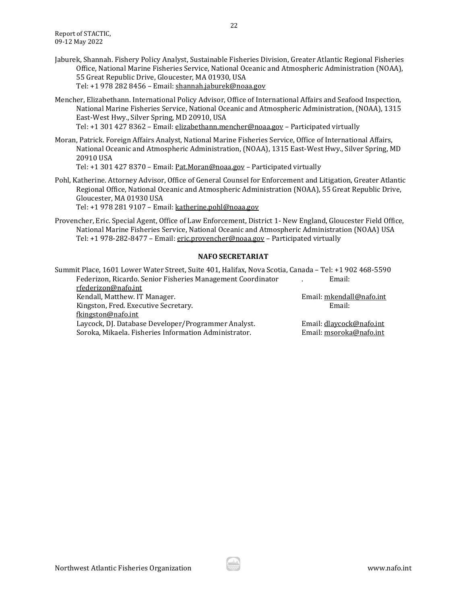Jaburek, Shannah. Fishery Policy Analyst, Sustainable Fisheries Division, Greater Atlantic Regional Fisheries Office, National Marine Fisheries Service, National Oceanic and Atmospheric Administration (NOAA), 55 Great Republic Drive, Gloucester, MA 01930, USA Tel: +1 978 282 8456 – Email[: shannah.jaburek@noaa.gov](mailto:shannah.jaburek@noaa.gov)

22

- Mencher, Elizabethann. International Policy Advisor, Office of International Affairs and Seafood Inspection, National Marine Fisheries Service, National Oceanic and Atmospheric Administration, (NOAA), 1315 East-West Hwy., Silver Spring, MD 20910, USA Tel: +1 301 427 8362 – Email: [elizabethann.mencher@noaa.gov](mailto:elizabethann.mencher@noaa.gov) – Participated virtually
- Moran, Patrick. Foreign Affairs Analyst, National Marine Fisheries Service, Office of International Affairs, National Oceanic and Atmospheric Administration, (NOAA), 1315 East-West Hwy., Silver Spring, MD 20910 USA Tel: +1 301 427 8370 – Email: [Pat.Moran@noaa.gov](mailto:Pat.Moran@noaa.gov) – Participated virtually
- Pohl, Katherine. Attorney Advisor, Office of General Counsel for Enforcement and Litigation, Greater Atlantic Regional Office, National Oceanic and Atmospheric Administration (NOAA), 55 Great Republic Drive, Gloucester, MA 01930 USA

Tel: +1 978 281 9107 – Email: [katherine.pohl@noaa.gov](mailto:katherine.pohl@noaa.gov)

Provencher, Eric. Special Agent, Office of Law Enforcement, District 1- New England, Gloucester Field Office, National Marine Fisheries Service, National Oceanic and Atmospheric Administration (NOAA) USA Tel: +1 978-282-8477 – Email[: eric.provencher@noaa.gov](mailto:eric.provencher@noaa.gov) – Participated virtually

### **NAFO SECRETARIAT**

| Summit Place, 1601 Lower Water Street, Suite 401, Halifax, Nova Scotia, Canada - Tel: +1 902 468-5590 |                          |
|-------------------------------------------------------------------------------------------------------|--------------------------|
| Federizon, Ricardo. Senior Fisheries Management Coordinator                                           | Email:                   |
| rfederizon@nafo.int                                                                                   |                          |
| Kendall, Matthew. IT Manager.                                                                         | Email: mkendall@nafo.int |
| Kingston, Fred. Executive Secretary.                                                                  | Email:                   |
| fkingston@nafo.int                                                                                    |                          |
| Laycock, DJ. Database Developer/Programmer Analyst.                                                   | Email: dlaycock@nafo.int |
| Soroka, Mikaela. Fisheries Information Administrator.                                                 | Email: msoroka@nafo.int  |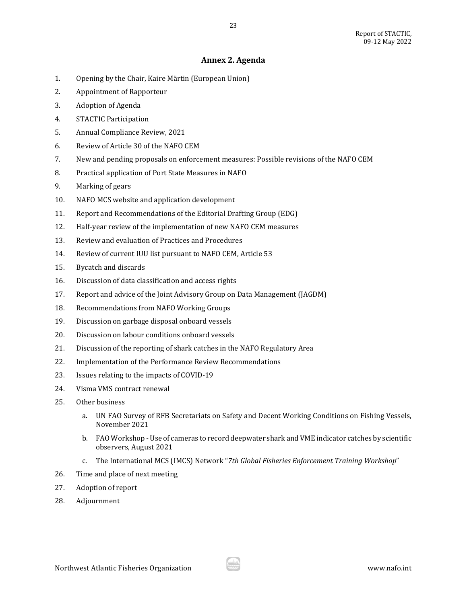# **Annex 2. Agenda**

- <span id="page-22-0"></span>1. Opening by the Chair, Kaire Märtin (European Union)
- 2. Appointment of Rapporteur
- 3. Adoption of Agenda
- 4. STACTIC Participation
- 5. Annual Compliance Review, 2021
- 6. Review of Article 30 of the NAFO CEM
- 7. New and pending proposals on enforcement measures: Possible revisions of the NAFO CEM
- 8. Practical application of Port State Measures in NAFO
- 9. Marking of gears
- 10. NAFO MCS website and application development
- 11. Report and Recommendations of the Editorial Drafting Group (EDG)
- 12. Half-year review of the implementation of new NAFO CEM measures
- 13. Review and evaluation of Practices and Procedures
- 14. Review of current IUU list pursuant to NAFO CEM, Article 53
- 15. Bycatch and discards
- 16. Discussion of data classification and access rights
- 17. Report and advice of the Joint Advisory Group on Data Management (JAGDM)
- 18. Recommendations from NAFO Working Groups
- 19. Discussion on garbage disposal onboard vessels
- 20. Discussion on labour conditions onboard vessels
- 21. Discussion of the reporting of shark catches in the NAFO Regulatory Area
- 22. Implementation of the Performance Review Recommendations
- 23. Issues relating to the impacts of COVID-19
- 24. Visma VMS contract renewal
- 25. Other business
	- a. UN FAO Survey of RFB Secretariats on Safety and Decent Working Conditions on Fishing Vessels, November 2021
	- b. FAO Workshop Use of cameras to record deepwater shark and VME indicator catches by scientific observers, August 2021
	- c. The International MCS (IMCS) Network "*7th Global Fisheries Enforcement Training Workshop*"
- 26. Time and place of next meeting
- 27. Adoption of report
- 28. Adjournment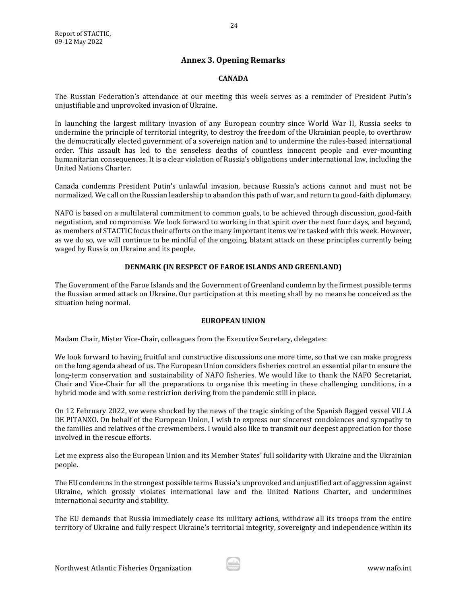# **Annex 3. Opening Remarks**

# **CANADA**

<span id="page-23-0"></span>The Russian Federation's attendance at our meeting this week serves as a reminder of President Putin's unjustifiable and unprovoked invasion of Ukraine.

In launching the largest military invasion of any European country since World War II, Russia seeks to undermine the principle of territorial integrity, to destroy the freedom of the Ukrainian people, to overthrow the democratically elected government of a sovereign nation and to undermine the rules-based international order. This assault has led to the senseless deaths of countless innocent people and ever-mounting humanitarian consequences. It is a clear violation of Russia's obligations under international law, including the United Nations Charter.

Canada condemns President Putin's unlawful invasion, because Russia's actions cannot and must not be normalized. We call on the Russian leadership to abandon this path of war, and return to good-faith diplomacy.

NAFO is based on a multilateral commitment to common goals, to be achieved through discussion, good-faith negotiation, and compromise. We look forward to working in that spirit over the next four days, and beyond, as members of STACTIC focus their efforts on the many important items we're tasked with this week. However, as we do so, we will continue to be mindful of the ongoing, blatant attack on these principles currently being waged by Russia on Ukraine and its people.

# **DENMARK (IN RESPECT OF FAROE ISLANDS AND GREENLAND)**

The Government of the Faroe Islands and the Government of Greenland condemn by the firmest possible terms the Russian armed attack on Ukraine. Our participation at this meeting shall by no means be conceived as the situation being normal.

# **EUROPEAN UNION**

Madam Chair, Mister Vice-Chair, colleagues from the Executive Secretary, delegates:

We look forward to having fruitful and constructive discussions one more time, so that we can make progress on the long agenda ahead of us. The European Union considers fisheries control an essential pilar to ensure the long-term conservation and sustainability of NAFO fisheries. We would like to thank the NAFO Secretariat, Chair and Vice-Chair for all the preparations to organise this meeting in these challenging conditions, in a hybrid mode and with some restriction deriving from the pandemic still in place.

On 12 February 2022, we were shocked by the news of the tragic sinking of the Spanish flagged vessel VILLA DE PITANXO. On behalf of the European Union, I wish to express our sincerest condolences and sympathy to the families and relatives of the crewmembers. I would also like to transmit our deepest appreciation for those involved in the rescue efforts.

Let me express also the European Union and its Member States' full solidarity with Ukraine and the Ukrainian people.

The EU condemns in the strongest possible terms Russia's unprovoked and unjustified act of aggression against Ukraine, which grossly violates international law and the United Nations Charter, and undermines international security and stability.

The EU demands that Russia immediately cease its military actions, withdraw all its troops from the entire territory of Ukraine and fully respect Ukraine's territorial integrity, sovereignty and independence within its

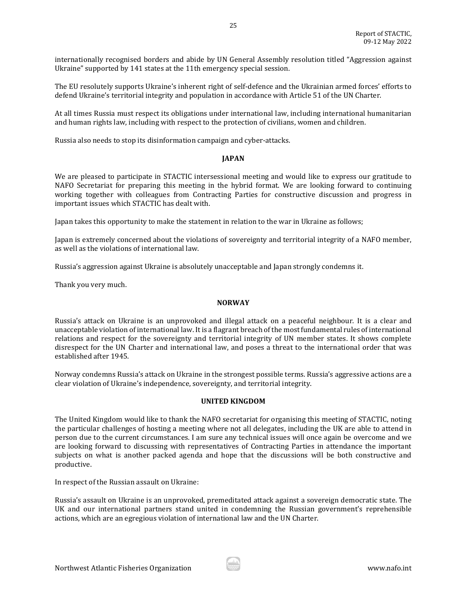internationally recognised borders and abide by UN General Assembly resolution titled "Aggression against Ukraine" supported by 141 states at the 11th emergency special session.

The EU resolutely supports Ukraine's inherent right of self-defence and the Ukrainian armed forces' efforts to defend Ukraine's territorial integrity and population in accordance with Article 51 of the UN Charter.

At all times Russia must respect its obligations under international law, including international humanitarian and human rights law, including with respect to the protection of civilians, women and children.

Russia also needs to stop its disinformation campaign and cyber-attacks.

### **JAPAN**

We are pleased to participate in STACTIC intersessional meeting and would like to express our gratitude to NAFO Secretariat for preparing this meeting in the hybrid format. We are looking forward to continuing working together with colleagues from Contracting Parties for constructive discussion and progress in important issues which STACTIC has dealt with.

Japan takes this opportunity to make the statement in relation to the war in Ukraine as follows;

Japan is extremely concerned about the violations of sovereignty and territorial integrity of a NAFO member, as well as the violations of international law.

Russia's aggression against Ukraine is absolutely unacceptable and Japan strongly condemns it.

Thank you very much.

### **NORWAY**

Russia's attack on Ukraine is an unprovoked and illegal attack on a peaceful neighbour. It is a clear and unacceptable violation of international law. It is a flagrant breach of the most fundamental rules of international relations and respect for the sovereignty and territorial integrity of UN member states. It shows complete disrespect for the UN Charter and international law, and poses a threat to the international order that was established after 1945.

Norway condemns Russia's attack on Ukraine in the strongest possible terms. Russia's aggressive actions are a clear violation of Ukraine's independence, sovereignty, and territorial integrity.

### **UNITED KINGDOM**

The United Kingdom would like to thank the NAFO secretariat for organising this meeting of STACTIC, noting the particular challenges of hosting a meeting where not all delegates, including the UK are able to attend in person due to the current circumstances. I am sure any technical issues will once again be overcome and we are looking forward to discussing with representatives of Contracting Parties in attendance the important subjects on what is another packed agenda and hope that the discussions will be both constructive and productive.

In respect of the Russian assault on Ukraine:

Russia's assault on Ukraine is an unprovoked, premeditated attack against a sovereign democratic state. The UK and our international partners stand united in condemning the Russian government's reprehensible actions, which are an egregious violation of international law and the UN Charter.